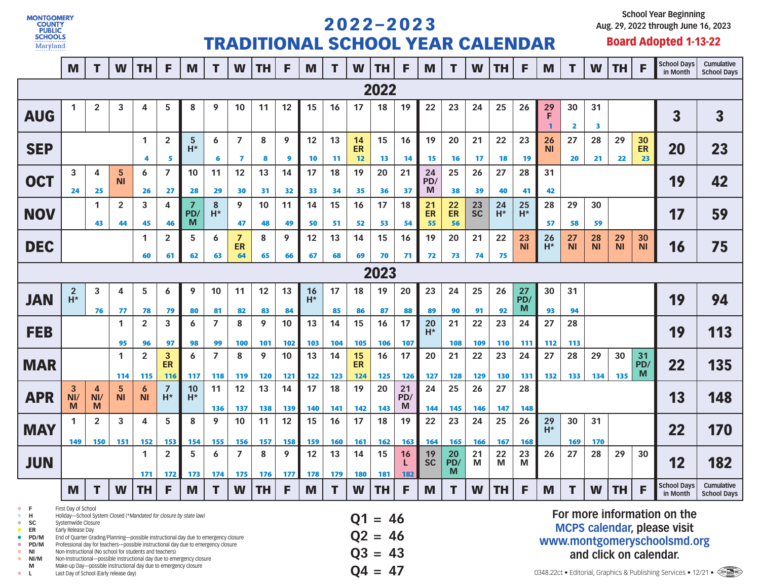

## 2 0 2 2 – 2 0 2 3 TRADITIONAL SCHOOL YEAR CALENDAR

**School Year Beginning Aug. 29, 2022 through June 16, 2023**

## Board Adopted 1-13-22

|                                                                                                                                                                                                                                                                                                                                                                                                                                                                                                                                                   | M                                                                                                         | T                       | W              | <b>TH</b>                     | F                       | M               | T                  | W                     | <b>TH</b> | F          | M           | т                | W                                   | <b>TH</b> | F                | M               | т                  | W               | <b>TH</b>                                                                                                                  | F                      | M                      | т               | W               | TH              | F               | <b>School Days</b><br>in Month       | Cumulative<br><b>School Days</b>                                        |
|---------------------------------------------------------------------------------------------------------------------------------------------------------------------------------------------------------------------------------------------------------------------------------------------------------------------------------------------------------------------------------------------------------------------------------------------------------------------------------------------------------------------------------------------------|-----------------------------------------------------------------------------------------------------------|-------------------------|----------------|-------------------------------|-------------------------|-----------------|--------------------|-----------------------|-----------|------------|-------------|------------------|-------------------------------------|-----------|------------------|-----------------|--------------------|-----------------|----------------------------------------------------------------------------------------------------------------------------|------------------------|------------------------|-----------------|-----------------|-----------------|-----------------|--------------------------------------|-------------------------------------------------------------------------|
|                                                                                                                                                                                                                                                                                                                                                                                                                                                                                                                                                   |                                                                                                           |                         |                |                               |                         |                 |                    |                       |           |            |             |                  |                                     | 2022      |                  |                 |                    |                 |                                                                                                                            |                        |                        |                 |                 |                 |                 |                                      |                                                                         |
| <b>AUG</b>                                                                                                                                                                                                                                                                                                                                                                                                                                                                                                                                        | 1                                                                                                         | $\overline{\mathbf{2}}$ | 3              | 4                             | 5                       | 8               | 9                  | 10                    | 11        | 12         | 15          | 16               | 17                                  | 18        | 19               | 22              | 23                 | 24              | 25                                                                                                                         | 26                     | 29<br>F                | 30<br>2         | 31<br>з         |                 |                 | $\overline{\mathbf{3}}$              | $\overline{\mathbf{3}}$                                                 |
| <b>SEP</b>                                                                                                                                                                                                                                                                                                                                                                                                                                                                                                                                        |                                                                                                           |                         |                | $\mathbf{1}$<br>4             | $\overline{2}$<br>5     | 5<br>$H^*$      | 6<br>6             | $\overline{7}$<br>7   | 8<br>8    | 9<br>9     | 12<br>10    | 13<br>11         | 14<br>ER<br>12                      | 15<br>13  | 16<br>14         | 19<br>15        | 20<br>16           | 21<br>17        | 22<br>18                                                                                                                   | 23<br>19               | 26<br>ΝI               | 27<br>20        | 28<br>21        | 29<br>22        | 30<br>ER<br>23  | 20                                   | 23                                                                      |
| <b>OCT</b>                                                                                                                                                                                                                                                                                                                                                                                                                                                                                                                                        | 5<br>6<br>3<br>4<br>ΝI<br>25<br>26<br>24                                                                  |                         |                |                               | 7<br>27                 | 10<br>28        | 11<br>29           | 12<br>30              | 13<br>31  | 14<br>32   | 17<br>33    | 18<br>34         | 19<br>35                            | 20<br>36  | 21<br>37         | 24<br>PD/<br>M  | 25<br>38           | 26<br>39        | 27<br>40                                                                                                                   | 28<br>41               | 31<br>42               |                 |                 |                 |                 | 19                                   | 42                                                                      |
| <b>NOV</b>                                                                                                                                                                                                                                                                                                                                                                                                                                                                                                                                        |                                                                                                           | 1<br>43                 | 2<br>44        | 3<br>45                       | 4<br>46                 | PD/<br>M        | ${\bf 8}$<br>$H^*$ | 9<br>47               | 10<br>48  | 11<br>49   | 14<br>50    | 15<br>51         | 16<br>52                            | 17<br>53  | 18<br>54         | 21<br>ER<br>55  | 22<br>ER<br>56     | 23<br><b>SC</b> | 24<br>$H^*$                                                                                                                | 25<br>$H^*$            | 28<br>57               | 29<br>58        | 30<br>59        |                 |                 | 17                                   | 59                                                                      |
| <b>DEC</b>                                                                                                                                                                                                                                                                                                                                                                                                                                                                                                                                        |                                                                                                           |                         |                | 1<br>60                       | 2<br>61                 | 5<br>62         | 6<br>63            | 7<br>ER<br>64         | 8<br>65   | 9<br>66    | 12<br>67    | 13<br>68         | 14<br>69                            | 15<br>70  | 16<br>71         | 19<br>72        | 20<br>73           | 21<br>74        | 22<br>75                                                                                                                   | 23<br><b>NI</b>        | 26<br>$\overline{H^*}$ | 27<br><b>NI</b> | 28<br><b>NI</b> | 29<br><b>NI</b> | 30<br><b>NI</b> | 16                                   | 75                                                                      |
| 2023                                                                                                                                                                                                                                                                                                                                                                                                                                                                                                                                              |                                                                                                           |                         |                |                               |                         |                 |                    |                       |           |            |             |                  |                                     |           |                  |                 |                    |                 |                                                                                                                            |                        |                        |                 |                 |                 |                 |                                      |                                                                         |
| <b>JAN</b>                                                                                                                                                                                                                                                                                                                                                                                                                                                                                                                                        | $\overline{\mathbf{c}}$<br>$\overline{H^*}$                                                               | 3<br>76                 | 4<br>77        | 5<br>78                       | 6<br>79                 | 9<br>80         | 10<br>81           | 11<br>82              | 12<br>83  | 13<br>84   | 16<br>$H^*$ | 17<br>85         | 18<br>86                            | 19<br>87  | 20<br>88         | 23<br>89        | 24<br>90           | 25<br>91        | 26<br>92                                                                                                                   | 27<br>PD/<br>M         | 30<br>93               | 31<br>94        |                 |                 |                 | 19                                   | 94                                                                      |
| <b>FEB</b>                                                                                                                                                                                                                                                                                                                                                                                                                                                                                                                                        |                                                                                                           |                         | 1<br>95        | $\overline{\mathbf{2}}$<br>96 | 3<br>97                 | 6<br>98         | 7<br>99            | 8<br>100              | 9<br>101  | 10<br>102  | 13<br>103   | 14<br>104        | 15<br>105                           | 16<br>106 | 17<br>107        | 20<br>$H^*$     | 21<br>108          | 22<br>109       | 23<br><b>110</b>                                                                                                           | 27<br>24<br>111<br>112 |                        | 28<br>113       |                 |                 |                 | 19                                   | 113                                                                     |
| <b>MAR</b>                                                                                                                                                                                                                                                                                                                                                                                                                                                                                                                                        | $\overline{2}$<br>3<br>1<br><b>ER</b><br>114<br>115<br><b>116</b>                                         |                         |                |                               |                         |                 | 7<br>118           | 8<br>119              | 9<br>120  | 10<br>121  | 13<br>122   | 14<br>123        | 15<br><b>ER</b><br>124              | 16<br>125 | 17<br>126        | 20<br>127       | 21<br>128          | 22<br>129       | 23<br>130                                                                                                                  | 24<br>131              | 27<br>132              | 28<br>133       | 29<br>134       | 30<br>135       | 31<br>PD/<br>M  | 22                                   | 135                                                                     |
| <b>APR</b>                                                                                                                                                                                                                                                                                                                                                                                                                                                                                                                                        | 3<br>NI/<br>M                                                                                             | 4<br>NI/<br>M           | 5<br><b>NI</b> | 6<br><b>NI</b>                | $\overline{7}$<br>$H^*$ | 117<br>10<br>H* | 11<br>136          | 12<br>137             | 13<br>138 | 14<br>139  | 17<br>140   | 18<br>141        | 19<br>142                           | 20<br>143 | 21<br>PD<br>M    | 24<br>144       | 25<br>145          | 26<br>146       | 27<br>147                                                                                                                  | 28<br>148              |                        |                 |                 |                 |                 | 13                                   | 148                                                                     |
| <b>MAY</b>                                                                                                                                                                                                                                                                                                                                                                                                                                                                                                                                        | 149                                                                                                       | $\mathbf{2}$<br>150     | 3<br>151       | 4<br>152                      | 5<br>153                | 8<br>154        | 9<br>155           | 10<br>156             | 11<br>157 | 12<br>158  | 15<br>159   | 16<br><b>160</b> | 17<br>161                           | 18<br>162 | 19<br>163        | 22<br>164       | 23<br>165          | 24<br>166       | 25<br>167                                                                                                                  | 26<br>168              | 29<br>$H^*$            | 30<br>169       | 31<br>170       |                 |                 | 22                                   | 170                                                                     |
| <b>JUN</b>                                                                                                                                                                                                                                                                                                                                                                                                                                                                                                                                        |                                                                                                           |                         |                |                               | $\overline{2}$<br>172   | 5<br>173        | 6<br>174           | $\overline{7}$<br>175 | 8<br>176  | 9<br>$177$ | 12<br>178   | 13<br>179        | 14<br><b>180</b>                    | 15<br>181 | 16<br><b>182</b> | 19<br><b>SC</b> | $20\,$<br>PD/<br>М | 21<br>M         | 22<br>M                                                                                                                    | 23<br>M                | 26                     | 27              | 28              | 29              | 30              | 12                                   | 182                                                                     |
|                                                                                                                                                                                                                                                                                                                                                                                                                                                                                                                                                   | M                                                                                                         |                         | W              | <b>TH</b>                     | F                       | M               |                    | W                     | TH.       | F          | M           |                  | W                                   | TH        | F                | M               |                    | W               | TH                                                                                                                         | F                      | M                      |                 |                 | $W$   TH        | F               | School Days   Cumulative<br>in Month | <b>School Days</b>                                                      |
| First Day of School<br>F<br>Holiday-School System Closed (*Mandated for closure by state law)<br>н<br>sc<br>Systemwide Closure<br>$\qquad \qquad \bullet$<br>Early Release Day<br>ER<br>٠<br>End of Quarter Grading/Planning-possible instructional day due to emergency closure<br>$\bullet$ PD/M<br>Professional day for teachers-possible instructional day due to emergency closure<br>PD/M<br>Non-Instructional (No school for students and teachers)<br>ΝI<br>Non-Instructional-possible instructional day due to emergency closure<br>NI/M |                                                                                                           |                         |                |                               |                         |                 |                    |                       |           |            |             |                  | $Q1 = 46$<br>$Q2 = 46$<br>$Q3 = 43$ |           |                  |                 |                    |                 | For more information on the<br><b>MCPS calendar, please visit</b><br>www.montgomeryschoolsmd.org<br>and click on calendar. |                        |                        |                 |                 |                 |                 |                                      |                                                                         |
| M<br>L.<br>$\bullet$                                                                                                                                                                                                                                                                                                                                                                                                                                                                                                                              | Make-up Day-possible instructional day due to emergency closure<br>Last Day of School (Early release day) |                         |                |                               |                         |                 |                    |                       |           |            |             |                  |                                     | $Q4 = 47$ |                  |                 |                    |                 |                                                                                                                            |                        |                        |                 |                 |                 |                 |                                      | 0348.22ct • Editorial, Graphics & Publishing Services • 12/21 • <a></a> |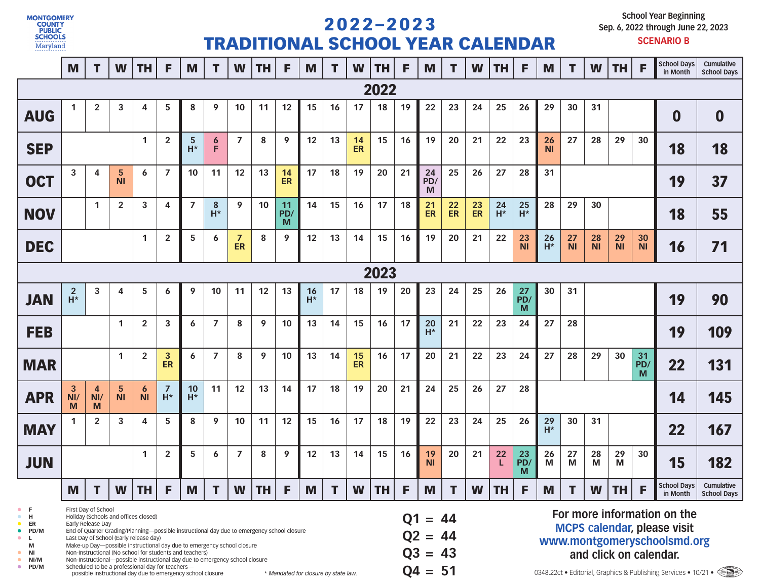

## 2 0 2 2 – 2 0 2 3 TRADITIONAL SCHOOL YEAR CALENDAR

**School Year Beginning Sep. 6, 2022 through June 22, 2023**

|                                                                                                                                                                                                                                                                                                                                                                                                                                                                                                                                                                                                                                                    | M                                  | T                          | W              | TН             | F                       | M              | т          | W                    | TН           | F               | M           | т         | W                                             | TH   | F  | M                                                                                                                                                                                               | т             | W        | TН          | F                    | M                                           | T.                   | W                    | <b>TH</b>       | F               | <b>School Days</b><br>in Month | Cumulative<br><b>School Days</b> |
|----------------------------------------------------------------------------------------------------------------------------------------------------------------------------------------------------------------------------------------------------------------------------------------------------------------------------------------------------------------------------------------------------------------------------------------------------------------------------------------------------------------------------------------------------------------------------------------------------------------------------------------------------|------------------------------------|----------------------------|----------------|----------------|-------------------------|----------------|------------|----------------------|--------------|-----------------|-------------|-----------|-----------------------------------------------|------|----|-------------------------------------------------------------------------------------------------------------------------------------------------------------------------------------------------|---------------|----------|-------------|----------------------|---------------------------------------------|----------------------|----------------------|-----------------|-----------------|--------------------------------|----------------------------------|
|                                                                                                                                                                                                                                                                                                                                                                                                                                                                                                                                                                                                                                                    |                                    |                            |                |                |                         |                |            |                      |              |                 |             |           |                                               | 2022 |    |                                                                                                                                                                                                 |               |          |             |                      |                                             |                      |                      |                 |                 |                                |                                  |
| <b>AUG</b>                                                                                                                                                                                                                                                                                                                                                                                                                                                                                                                                                                                                                                         | $\mathbf{1}$                       | $\overline{2}$             | 3              | 4              | 5                       | 8              | 9          | 10                   | 11           | 12              | 15          | 16        | 17                                            | 18   | 19 | 22                                                                                                                                                                                              | 23            | 24       | 25          | 26                   | 29                                          | 30                   | 31                   |                 |                 | 0                              | $\boldsymbol{0}$                 |
| <b>SEP</b>                                                                                                                                                                                                                                                                                                                                                                                                                                                                                                                                                                                                                                         |                                    |                            |                |                | $\overline{2}$          | 5<br>H*        | 6<br>F     | $\overline{7}$       | 8            | 9               | 12          | 13        | 14<br><b>ER</b>                               | 15   | 16 | 19                                                                                                                                                                                              | 20            | 21       | 22          | 23                   | 26<br><b>NI</b>                             | 27                   | 28                   | 29              | 30              | 18                             | 18                               |
| <b>OCT</b>                                                                                                                                                                                                                                                                                                                                                                                                                                                                                                                                                                                                                                         | 3                                  | 4                          | 5<br><b>NI</b> | 6              | 7                       | 10             | 11         | 12                   | 13           | 14<br><b>ER</b> | 17          | 18        | 19                                            | 20   | 21 | 24<br>PD/<br>M                                                                                                                                                                                  | 25            | 26       | 27          | 28                   | 31                                          |                      |                      |                 |                 | 19                             | 37                               |
| <b>NOV</b>                                                                                                                                                                                                                                                                                                                                                                                                                                                                                                                                                                                                                                         |                                    | 1                          | 2              | 3              | 4                       | $\overline{7}$ | 8<br>$H^*$ | 9                    | 10           | 11<br>PD/<br>M  | 14          | 15        | 16                                            | 17   | 18 | 21<br>ER                                                                                                                                                                                        | $rac{22}{ER}$ | 23<br>ER | 24<br>$H^*$ | 25<br>$H^*$          | 28                                          | 29                   | 30                   |                 |                 | 18                             | 55                               |
| <b>DEC</b>                                                                                                                                                                                                                                                                                                                                                                                                                                                                                                                                                                                                                                         |                                    |                            |                | $\mathbf{1}$   | 2                       | 5              | 6          | $\overline{z}$<br>ER | 8            | 9               | 12          | 13        | 14                                            | 15   | 16 | 19                                                                                                                                                                                              | 20            | 21       | 22          | 23<br><b>NI</b>      | 26<br>$\overline{H^*}$                      | 27<br>N <sub>l</sub> | 28<br>$\overline{N}$ | 29<br><b>NI</b> | 30<br><b>NI</b> | 16                             | 71                               |
| 2023                                                                                                                                                                                                                                                                                                                                                                                                                                                                                                                                                                                                                                               |                                    |                            |                |                |                         |                |            |                      |              |                 |             |           |                                               |      |    |                                                                                                                                                                                                 |               |          |             |                      |                                             |                      |                      |                 |                 |                                |                                  |
| <b>JAN</b>                                                                                                                                                                                                                                                                                                                                                                                                                                                                                                                                                                                                                                         | $\overline{2}$<br>$\overline{H^*}$ | 3                          | 4              | 5              | 6                       | 9              | 10         | 11                   | 12           | 13              | 16<br>$H^*$ | 17        | 18                                            | 19   | 20 | 23                                                                                                                                                                                              | 24            | 25       | 26          | 27<br>PD/<br>M       | 30<br>31                                    |                      |                      |                 |                 | 19                             | 90                               |
| <b>FEB</b>                                                                                                                                                                                                                                                                                                                                                                                                                                                                                                                                                                                                                                         |                                    |                            | 1              | $\overline{2}$ | 3                       | 6              | 7          | 8                    | 9            | 10              | 13          | 14        | 15                                            | 16   | 17 | 20<br>$H^*$                                                                                                                                                                                     | 21            | 22       | 23          | 24                   | 27<br>28                                    |                      |                      |                 |                 | 19                             | 109                              |
| <b>MAR</b>                                                                                                                                                                                                                                                                                                                                                                                                                                                                                                                                                                                                                                         |                                    |                            | 1              | 2              | 3<br>ER                 | 6              | 7          | 8                    | 9            | 10              | 13          | 14        | 15<br><b>ER</b>                               | 16   | 17 | 20                                                                                                                                                                                              | 21            | 22       | 23          | 24                   | 27<br>28<br>29<br>30<br>$\frac{31}{P}$<br>M |                      |                      |                 |                 | 22                             | 131                              |
| <b>APR</b>                                                                                                                                                                                                                                                                                                                                                                                                                                                                                                                                                                                                                                         | 3<br>NI/<br>M                      | $\overline{4}$<br>NI/<br>M | 5<br><b>NI</b> | 6<br><b>NI</b> | $\overline{z}$<br>$H^*$ | 10<br>$H^*$    | 11         | 12                   | 13           | 14              | 17          | 18        | 19                                            | 20   | 21 | 24                                                                                                                                                                                              | 25            | 26       | 27          | 28                   |                                             |                      |                      |                 |                 | 14                             | 145                              |
| <b>MAY</b>                                                                                                                                                                                                                                                                                                                                                                                                                                                                                                                                                                                                                                         |                                    | $\overline{2}$             | 3              | 4              | 5                       | 8              | 9          | 10                   | 11           | 12              | 15          | 16        | 17                                            | 18   | 19 | 22                                                                                                                                                                                              | 23            | 24       | 25          | 26                   | 29<br>$H^*$                                 | 30                   | 31                   |                 |                 | 22                             | 167                              |
| <b>JUN</b>                                                                                                                                                                                                                                                                                                                                                                                                                                                                                                                                                                                                                                         |                                    |                            |                | 1              | $\overline{2}$          | 5              | 6          | $\overline{7}$       | 8            | 9               | 12          | 13        | 14                                            | 15   | 16 | 19<br><b>NI</b>                                                                                                                                                                                 | 20            | 21       | 22<br>L     | $\frac{23}{PD}$<br>M | 26<br>M                                     | 27<br>M              | 28<br>M              | 29<br>M         | 30              | 15                             | 182                              |
|                                                                                                                                                                                                                                                                                                                                                                                                                                                                                                                                                                                                                                                    | M                                  |                            |                | $W$   TH   F   |                         | M              |            |                      | $W$   TH   F |                 | M           | н.        | W                                             | TH.  | F. | M                                                                                                                                                                                               |               |          | $W$   TH    | F                    | M                                           |                      | W                    | TH.             |                 | School Days<br>in Month        | Cumulative<br><b>School Days</b> |
| First Day of School<br>$\bullet$<br>F<br>Holiday (Schools and offices closed)<br>н<br>$\bullet$<br>Early Release Day<br>ER<br>End of Quarter Grading/Planning-possible instructional day due to emergency school closure<br>$\bullet$ PD/M<br>Last Day of School (Early release day)<br>$\bullet$<br>L.<br>Make-up Day-possible instructional day due to emergency school closure<br>M<br>Non-Instructional (No school for students and teachers)<br>NI<br>$\bullet$<br>Non-Instructional-possible instructional day due to emergency school closure<br>NI/M<br>$\bullet$<br>PD/M<br>Scheduled to be a professional day for teachers-<br>$\bullet$ |                                    |                            |                |                |                         |                |            |                      |              |                 |             | <b>Q1</b> | $= 44$<br>$Q2 = 44$<br>$Q3 = 43$<br>$Q4 = 51$ |      |    | For more information on the<br><b>MCPS calendar, please visit</b><br>www.montgomeryschoolsmd.org<br>and click on calendar.<br>0348.22ct • Editorial, Graphics & Publishing Services • 10/21 • < |               |          |             |                      |                                             |                      |                      |                 |                 |                                |                                  |

0348.22ct • Editorial, Graphics & Publishing Services • 10/21 •  $\leftarrow$